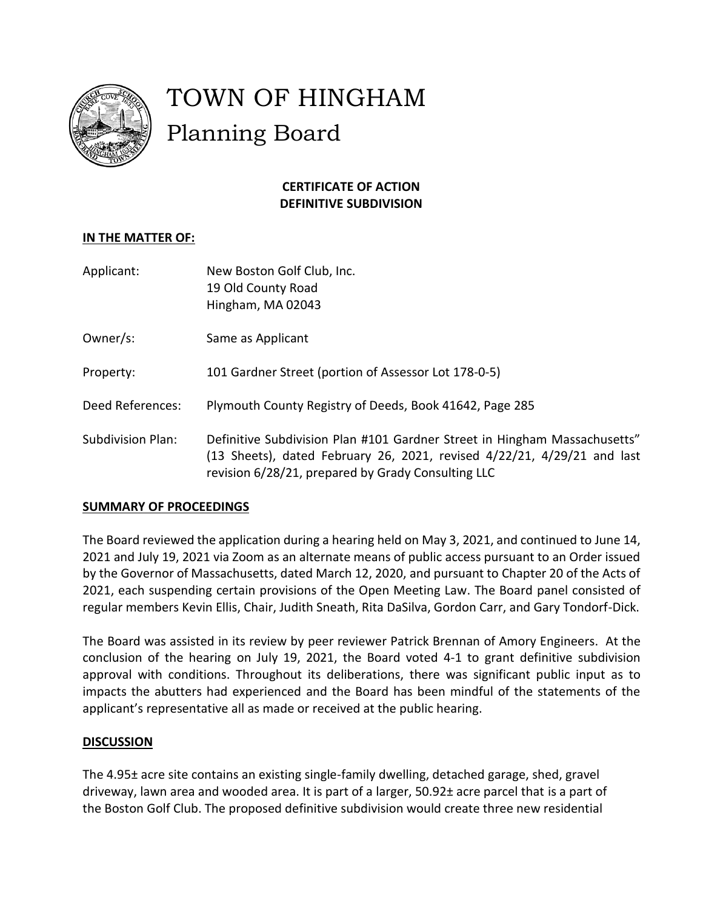

# TOWN OF HINGHAM Planning Board

# **CERTIFICATE OF ACTION DEFINITIVE SUBDIVISION**

## **IN THE MATTER OF:**

| Applicant: | New Boston Golf Club, Inc. |
|------------|----------------------------|
|            | 19 Old County Road         |
|            | Hingham, MA 02043          |

Owner/s: Same as Applicant

Property: 101 Gardner Street (portion of Assessor Lot 178-0-5)

Deed References: Plymouth County Registry of Deeds, Book 41642, Page 285

Subdivision Plan: Definitive Subdivision Plan #101 Gardner Street in Hingham Massachusetts" (13 Sheets), dated February 26, 2021, revised 4/22/21, 4/29/21 and last revision 6/28/21, prepared by Grady Consulting LLC

### **SUMMARY OF PROCEEDINGS**

The Board reviewed the application during a hearing held on May 3, 2021, and continued to June 14, 2021 and July 19, 2021 via Zoom as an alternate means of public access pursuant to an Order issued by the Governor of Massachusetts, dated March 12, 2020, and pursuant to Chapter 20 of the Acts of 2021, each suspending certain provisions of the Open Meeting Law. The Board panel consisted of regular members Kevin Ellis, Chair, Judith Sneath, Rita DaSilva, Gordon Carr, and Gary Tondorf-Dick.

The Board was assisted in its review by peer reviewer Patrick Brennan of Amory Engineers. At the conclusion of the hearing on July 19, 2021, the Board voted 4-1 to grant definitive subdivision approval with conditions. Throughout its deliberations, there was significant public input as to impacts the abutters had experienced and the Board has been mindful of the statements of the applicant's representative all as made or received at the public hearing.

### **DISCUSSION**

The 4.95± acre site contains an existing single-family dwelling, detached garage, shed, gravel driveway, lawn area and wooded area. It is part of a larger, 50.92± acre parcel that is a part of the Boston Golf Club. The proposed definitive subdivision would create three new residential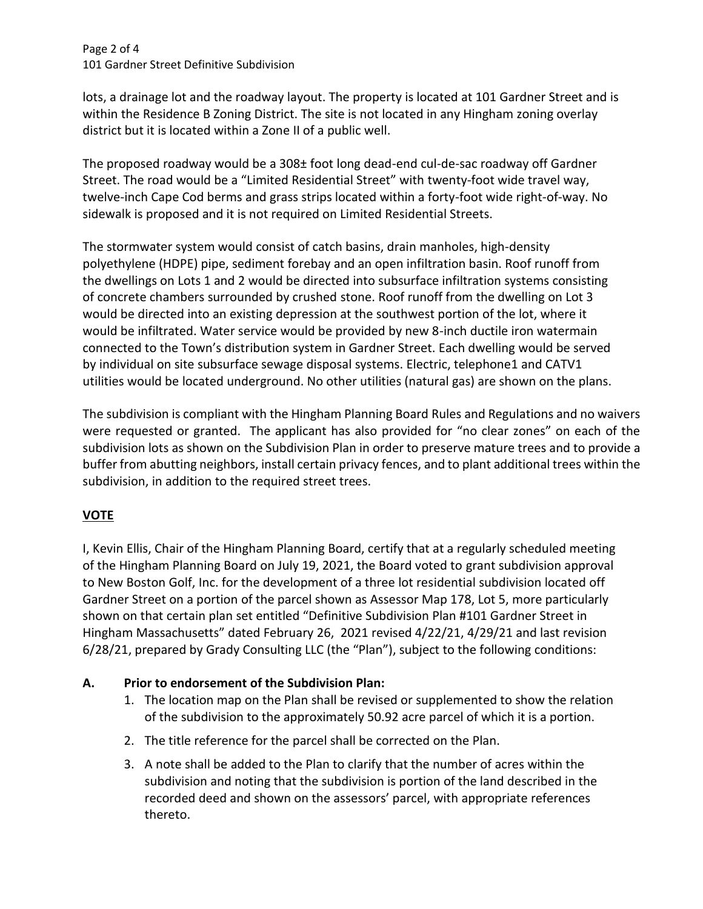Page 2 of 4 101 Gardner Street Definitive Subdivision

lots, a drainage lot and the roadway layout. The property is located at 101 Gardner Street and is within the Residence B Zoning District. The site is not located in any Hingham zoning overlay district but it is located within a Zone II of a public well.

The proposed roadway would be a 308± foot long dead-end cul-de-sac roadway off Gardner Street. The road would be a "Limited Residential Street" with twenty-foot wide travel way, twelve-inch Cape Cod berms and grass strips located within a forty-foot wide right-of-way. No sidewalk is proposed and it is not required on Limited Residential Streets.

The stormwater system would consist of catch basins, drain manholes, high-density polyethylene (HDPE) pipe, sediment forebay and an open infiltration basin. Roof runoff from the dwellings on Lots 1 and 2 would be directed into subsurface infiltration systems consisting of concrete chambers surrounded by crushed stone. Roof runoff from the dwelling on Lot 3 would be directed into an existing depression at the southwest portion of the lot, where it would be infiltrated. Water service would be provided by new 8-inch ductile iron watermain connected to the Town's distribution system in Gardner Street. Each dwelling would be served by individual on site subsurface sewage disposal systems. Electric, telephone1 and CATV1 utilities would be located underground. No other utilities (natural gas) are shown on the plans.

The subdivision is compliant with the Hingham Planning Board Rules and Regulations and no waivers were requested or granted. The applicant has also provided for "no clear zones" on each of the subdivision lots as shown on the Subdivision Plan in order to preserve mature trees and to provide a buffer from abutting neighbors, install certain privacy fences, and to plant additional trees within the subdivision, in addition to the required street trees.

# **VOTE**

I, Kevin Ellis, Chair of the Hingham Planning Board, certify that at a regularly scheduled meeting of the Hingham Planning Board on July 19, 2021, the Board voted to grant subdivision approval to New Boston Golf, Inc. for the development of a three lot residential subdivision located off Gardner Street on a portion of the parcel shown as Assessor Map 178, Lot 5, more particularly shown on that certain plan set entitled "Definitive Subdivision Plan #101 Gardner Street in Hingham Massachusetts" dated February 26, 2021 revised 4/22/21, 4/29/21 and last revision 6/28/21, prepared by Grady Consulting LLC (the "Plan"), subject to the following conditions:

## **A. Prior to endorsement of the Subdivision Plan:**

- 1. The location map on the Plan shall be revised or supplemented to show the relation of the subdivision to the approximately 50.92 acre parcel of which it is a portion.
- 2. The title reference for the parcel shall be corrected on the Plan.
- 3. A note shall be added to the Plan to clarify that the number of acres within the subdivision and noting that the subdivision is portion of the land described in the recorded deed and shown on the assessors' parcel, with appropriate references thereto.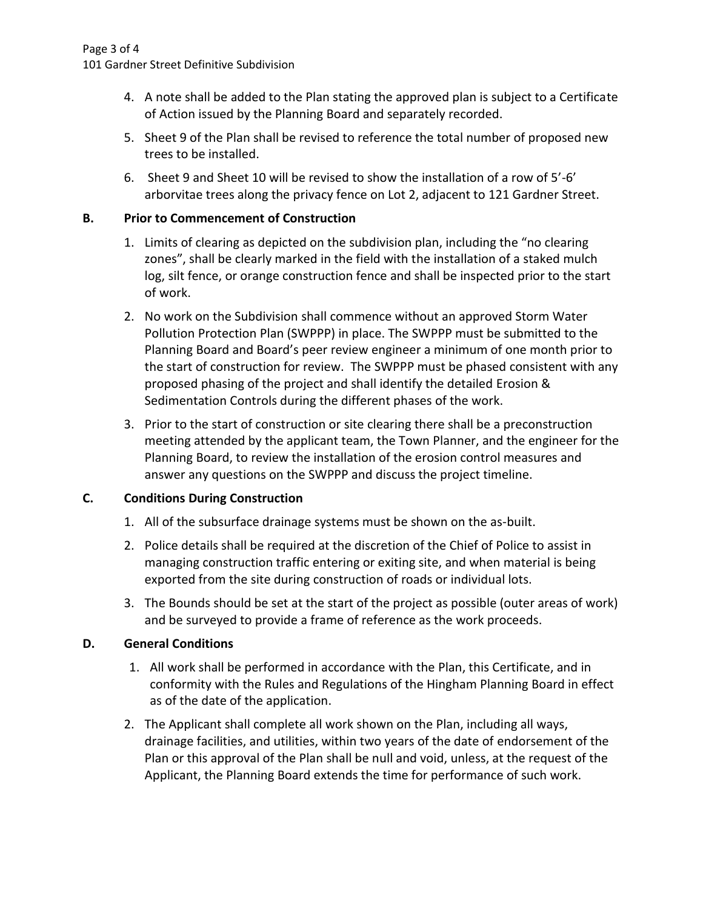- 4. A note shall be added to the Plan stating the approved plan is subject to a Certificate of Action issued by the Planning Board and separately recorded.
- 5. Sheet 9 of the Plan shall be revised to reference the total number of proposed new trees to be installed.
- 6. Sheet 9 and Sheet 10 will be revised to show the installation of a row of 5'-6' arborvitae trees along the privacy fence on Lot 2, adjacent to 121 Gardner Street.

## **B. Prior to Commencement of Construction**

- 1. Limits of clearing as depicted on the subdivision plan, including the "no clearing zones", shall be clearly marked in the field with the installation of a staked mulch log, silt fence, or orange construction fence and shall be inspected prior to the start of work.
- 2. No work on the Subdivision shall commence without an approved Storm Water Pollution Protection Plan (SWPPP) in place. The SWPPP must be submitted to the Planning Board and Board's peer review engineer a minimum of one month prior to the start of construction for review. The SWPPP must be phased consistent with any proposed phasing of the project and shall identify the detailed Erosion & Sedimentation Controls during the different phases of the work.
- 3. Prior to the start of construction or site clearing there shall be a preconstruction meeting attended by the applicant team, the Town Planner, and the engineer for the Planning Board, to review the installation of the erosion control measures and answer any questions on the SWPPP and discuss the project timeline.

## **C. Conditions During Construction**

- 1. All of the subsurface drainage systems must be shown on the as-built.
- 2. Police details shall be required at the discretion of the Chief of Police to assist in managing construction traffic entering or exiting site, and when material is being exported from the site during construction of roads or individual lots.
- 3. The Bounds should be set at the start of the project as possible (outer areas of work) and be surveyed to provide a frame of reference as the work proceeds.

### **D. General Conditions**

- 1. All work shall be performed in accordance with the Plan, this Certificate, and in conformity with the Rules and Regulations of the Hingham Planning Board in effect as of the date of the application.
- 2. The Applicant shall complete all work shown on the Plan, including all ways, drainage facilities, and utilities, within two years of the date of endorsement of the Plan or this approval of the Plan shall be null and void, unless, at the request of the Applicant, the Planning Board extends the time for performance of such work.